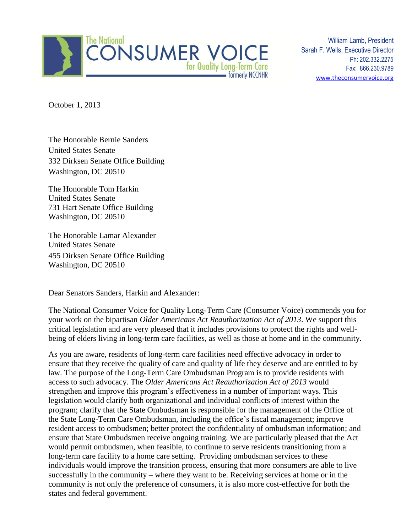

William Lamb, President Sarah F. Wells, Executive Director Ph: 202.332.2275 Fax: 866.230.9789 [www.theconsumervoice.org](http://www.theconsumervoice.org/)

October 1, 2013

The Honorable Bernie Sanders United States Senate 332 Dirksen Senate Office Building Washington, DC 20510

The Honorable Tom Harkin United States Senate 731 Hart Senate Office Building Washington, DC 20510

The Honorable Lamar Alexander United States Senate 455 Dirksen Senate Office Building Washington, DC 20510

Dear Senators Sanders, Harkin and Alexander:

The National Consumer Voice for Quality Long-Term Care (Consumer Voice) commends you for your work on the bipartisan *Older Americans Act Reauthorization Act of 2013*. We support this critical legislation and are very pleased that it includes provisions to protect the rights and wellbeing of elders living in long-term care facilities, as well as those at home and in the community.

As you are aware, residents of long-term care facilities need effective advocacy in order to ensure that they receive the quality of care and quality of life they deserve and are entitled to by law. The purpose of the Long-Term Care Ombudsman Program is to provide residents with access to such advocacy. The *Older Americans Act Reauthorization Act of 2013* would strengthen and improve this program's effectiveness in a number of important ways. This legislation would clarify both organizational and individual conflicts of interest within the program; clarify that the State Ombudsman is responsible for the management of the Office of the State Long-Term Care Ombudsman, including the office's fiscal management; improve resident access to ombudsmen; better protect the confidentiality of ombudsman information; and ensure that State Ombudsmen receive ongoing training. We are particularly pleased that the Act would permit ombudsmen, when feasible, to continue to serve residents transitioning from a long-term care facility to a home care setting. Providing ombudsman services to these individuals would improve the transition process, ensuring that more consumers are able to live successfully in the community – where they want to be. Receiving services at home or in the community is not only the preference of consumers, it is also more cost-effective for both the states and federal government.